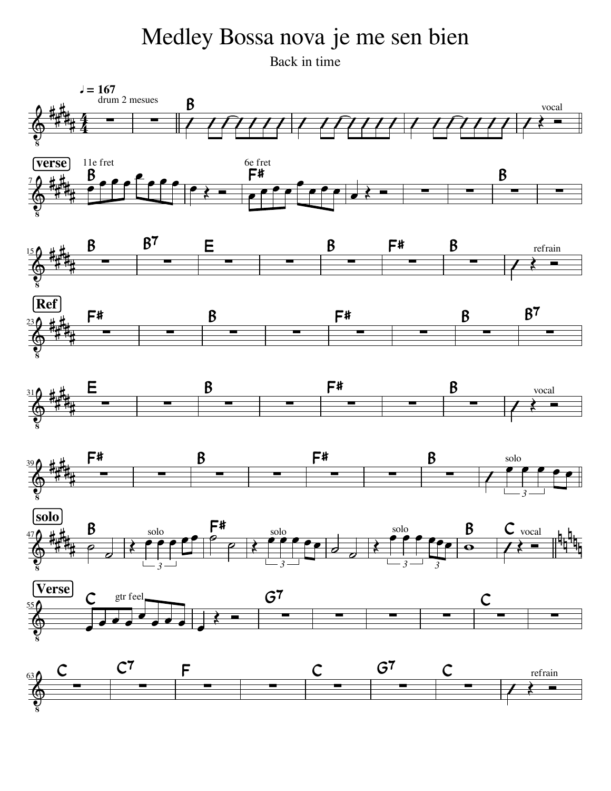## Medley Bossa nova je me sen bien

Back in time

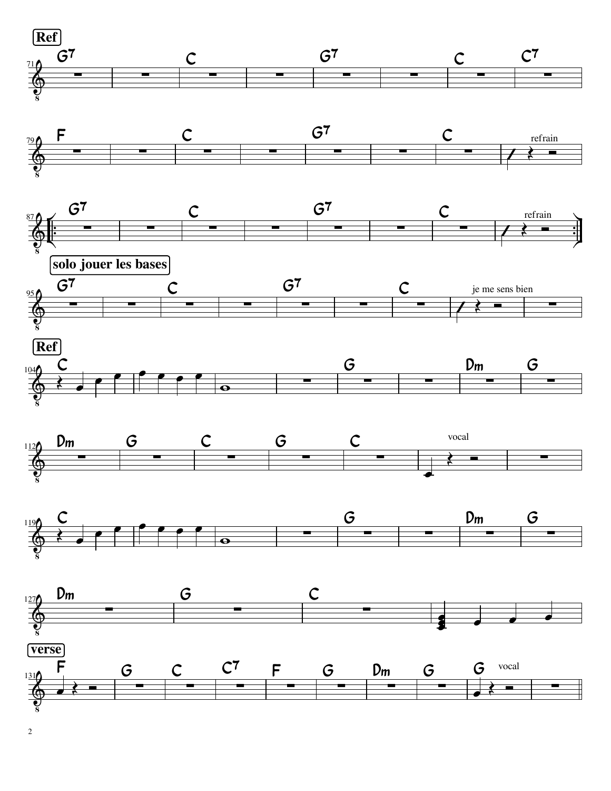

2